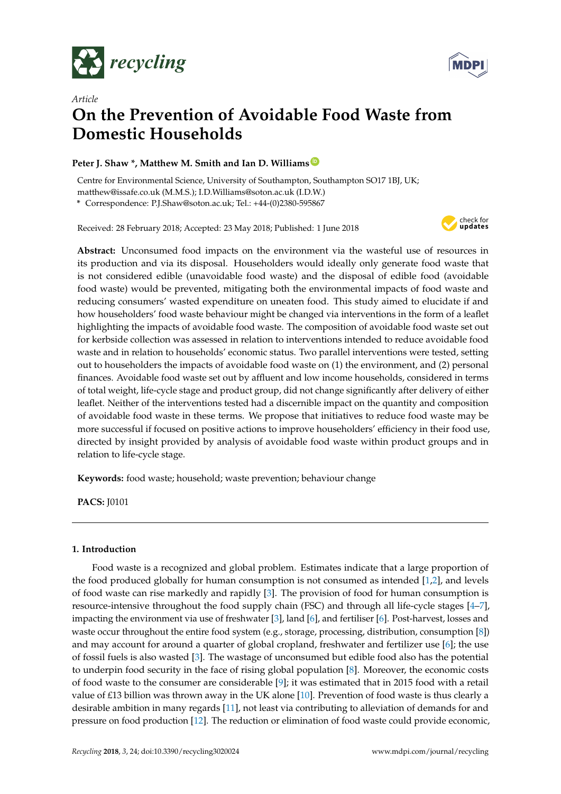



# *Article* **On the Prevention of Avoidable Food Waste from Domestic Households**

# **Peter J. Shaw \*, Matthew M. Smith and Ian D. Williams [ID](https://orcid.org/0000-0002-0121-1219)**

Centre for Environmental Science, University of Southampton, Southampton SO17 1BJ, UK; matthew@issafe.co.uk (M.M.S.); I.D.Williams@soton.ac.uk (I.D.W.)

**\*** Correspondence: P.J.Shaw@soton.ac.uk; Tel.: +44-(0)2380-595867

Received: 28 February 2018; Accepted: 23 May 2018; Published: 1 June 2018



**Abstract:** Unconsumed food impacts on the environment via the wasteful use of resources in its production and via its disposal. Householders would ideally only generate food waste that is not considered edible (unavoidable food waste) and the disposal of edible food (avoidable food waste) would be prevented, mitigating both the environmental impacts of food waste and reducing consumers' wasted expenditure on uneaten food. This study aimed to elucidate if and how householders' food waste behaviour might be changed via interventions in the form of a leaflet highlighting the impacts of avoidable food waste. The composition of avoidable food waste set out for kerbside collection was assessed in relation to interventions intended to reduce avoidable food waste and in relation to households' economic status. Two parallel interventions were tested, setting out to householders the impacts of avoidable food waste on (1) the environment, and (2) personal finances. Avoidable food waste set out by affluent and low income households, considered in terms of total weight, life-cycle stage and product group, did not change significantly after delivery of either leaflet. Neither of the interventions tested had a discernible impact on the quantity and composition of avoidable food waste in these terms. We propose that initiatives to reduce food waste may be more successful if focused on positive actions to improve householders' efficiency in their food use, directed by insight provided by analysis of avoidable food waste within product groups and in relation to life-cycle stage.

**Keywords:** food waste; household; waste prevention; behaviour change

**PACS:** J0101

# **1. Introduction**

Food waste is a recognized and global problem. Estimates indicate that a large proportion of the food produced globally for human consumption is not consumed as intended [\[1,](#page-9-0)[2\]](#page-9-1), and levels of food waste can rise markedly and rapidly [\[3\]](#page-9-2). The provision of food for human consumption is resource-intensive throughout the food supply chain (FSC) and through all life-cycle stages [\[4](#page-9-3)[–7\]](#page-9-4), impacting the environment via use of freshwater [\[3\]](#page-9-2), land [\[6\]](#page-9-5), and fertiliser [\[6\]](#page-9-5). Post-harvest, losses and waste occur throughout the entire food system (e.g., storage, processing, distribution, consumption [\[8\]](#page-9-6)) and may account for around a quarter of global cropland, freshwater and fertilizer use [\[6\]](#page-9-5); the use of fossil fuels is also wasted [\[3\]](#page-9-2). The wastage of unconsumed but edible food also has the potential to underpin food security in the face of rising global population [\[8\]](#page-9-6). Moreover, the economic costs of food waste to the consumer are considerable [\[9\]](#page-9-7); it was estimated that in 2015 food with a retail value of £13 billion was thrown away in the UK alone [\[10\]](#page-9-8). Prevention of food waste is thus clearly a desirable ambition in many regards [\[11\]](#page-9-9), not least via contributing to alleviation of demands for and pressure on food production [\[12\]](#page-9-10). The reduction or elimination of food waste could provide economic,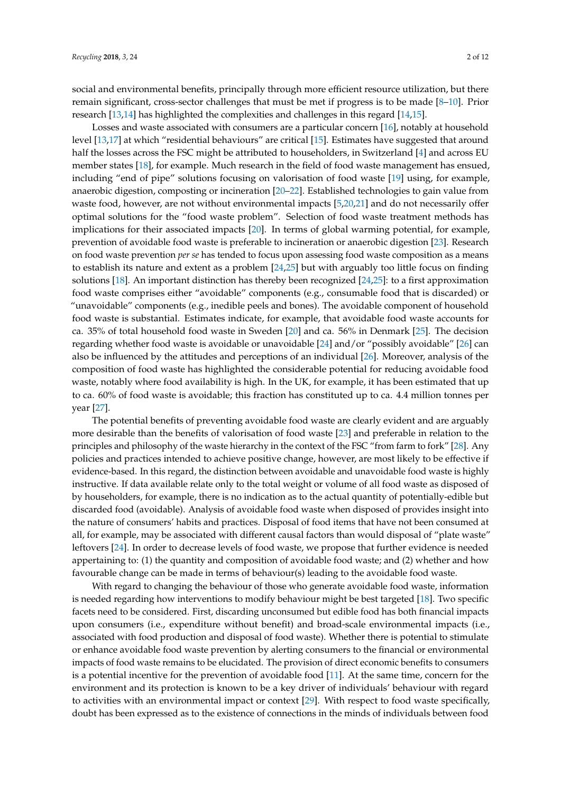social and environmental benefits, principally through more efficient resource utilization, but there remain significant, cross-sector challenges that must be met if progress is to be made [\[8–](#page-9-6)[10\]](#page-9-8). Prior research [\[13](#page-9-11)[,14\]](#page-9-12) has highlighted the complexities and challenges in this regard [\[14,](#page-9-12)[15\]](#page-9-13).

Losses and waste associated with consumers are a particular concern [\[16\]](#page-9-14), notably at household level [\[13,](#page-9-11)[17\]](#page-10-0) at which "residential behaviours" are critical [\[15\]](#page-9-13). Estimates have suggested that around half the losses across the FSC might be attributed to householders, in Switzerland [\[4\]](#page-9-3) and across EU member states [\[18\]](#page-10-1), for example. Much research in the field of food waste management has ensued, including "end of pipe" solutions focusing on valorisation of food waste [\[19\]](#page-10-2) using, for example, anaerobic digestion, composting or incineration [\[20–](#page-10-3)[22\]](#page-10-4). Established technologies to gain value from waste food, however, are not without environmental impacts [\[5,](#page-9-15)[20,](#page-10-3)[21\]](#page-10-5) and do not necessarily offer optimal solutions for the "food waste problem". Selection of food waste treatment methods has implications for their associated impacts [\[20\]](#page-10-3). In terms of global warming potential, for example, prevention of avoidable food waste is preferable to incineration or anaerobic digestion [\[23\]](#page-10-6). Research on food waste prevention *per se* has tended to focus upon assessing food waste composition as a means to establish its nature and extent as a problem [\[24,](#page-10-7)[25\]](#page-10-8) but with arguably too little focus on finding solutions [\[18\]](#page-10-1). An important distinction has thereby been recognized [\[24](#page-10-7)[,25\]](#page-10-8): to a first approximation food waste comprises either "avoidable" components (e.g., consumable food that is discarded) or "unavoidable" components (e.g., inedible peels and bones). The avoidable component of household food waste is substantial. Estimates indicate, for example, that avoidable food waste accounts for ca. 35% of total household food waste in Sweden [\[20\]](#page-10-3) and ca. 56% in Denmark [\[25\]](#page-10-8). The decision regarding whether food waste is avoidable or unavoidable [\[24\]](#page-10-7) and/or "possibly avoidable" [\[26\]](#page-10-9) can also be influenced by the attitudes and perceptions of an individual [\[26\]](#page-10-9). Moreover, analysis of the composition of food waste has highlighted the considerable potential for reducing avoidable food waste, notably where food availability is high. In the UK, for example, it has been estimated that up to ca. 60% of food waste is avoidable; this fraction has constituted up to ca. 4.4 million tonnes per year [\[27\]](#page-10-10).

The potential benefits of preventing avoidable food waste are clearly evident and are arguably more desirable than the benefits of valorisation of food waste [\[23\]](#page-10-6) and preferable in relation to the principles and philosophy of the waste hierarchy in the context of the FSC "from farm to fork" [\[28\]](#page-10-11). Any policies and practices intended to achieve positive change, however, are most likely to be effective if evidence-based. In this regard, the distinction between avoidable and unavoidable food waste is highly instructive. If data available relate only to the total weight or volume of all food waste as disposed of by householders, for example, there is no indication as to the actual quantity of potentially-edible but discarded food (avoidable). Analysis of avoidable food waste when disposed of provides insight into the nature of consumers' habits and practices. Disposal of food items that have not been consumed at all, for example, may be associated with different causal factors than would disposal of "plate waste" leftovers [\[24\]](#page-10-7). In order to decrease levels of food waste, we propose that further evidence is needed appertaining to: (1) the quantity and composition of avoidable food waste; and (2) whether and how favourable change can be made in terms of behaviour(s) leading to the avoidable food waste.

With regard to changing the behaviour of those who generate avoidable food waste, information is needed regarding how interventions to modify behaviour might be best targeted [\[18\]](#page-10-1). Two specific facets need to be considered. First, discarding unconsumed but edible food has both financial impacts upon consumers (i.e., expenditure without benefit) and broad-scale environmental impacts (i.e., associated with food production and disposal of food waste). Whether there is potential to stimulate or enhance avoidable food waste prevention by alerting consumers to the financial or environmental impacts of food waste remains to be elucidated. The provision of direct economic benefits to consumers is a potential incentive for the prevention of avoidable food [\[11\]](#page-9-9). At the same time, concern for the environment and its protection is known to be a key driver of individuals' behaviour with regard to activities with an environmental impact or context [\[29\]](#page-10-12). With respect to food waste specifically, doubt has been expressed as to the existence of connections in the minds of individuals between food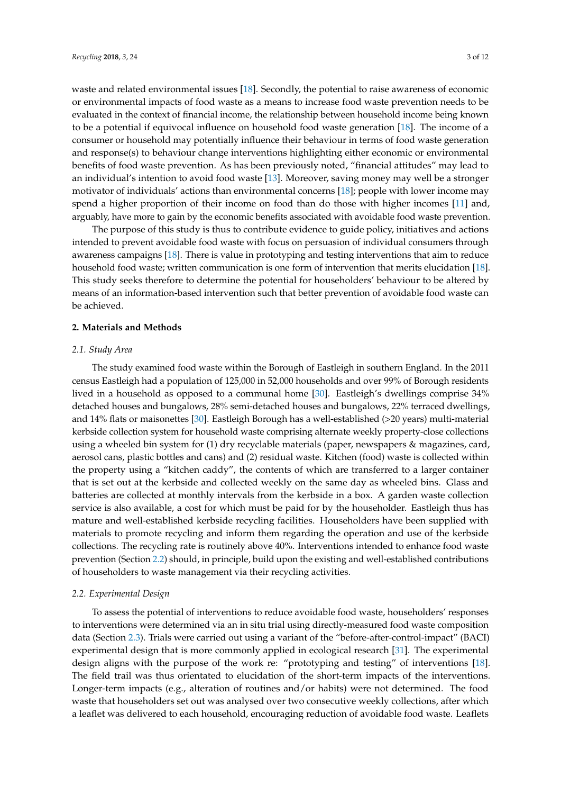waste and related environmental issues [\[18\]](#page-10-1). Secondly, the potential to raise awareness of economic or environmental impacts of food waste as a means to increase food waste prevention needs to be evaluated in the context of financial income, the relationship between household income being known to be a potential if equivocal influence on household food waste generation [\[18\]](#page-10-1). The income of a consumer or household may potentially influence their behaviour in terms of food waste generation and response(s) to behaviour change interventions highlighting either economic or environmental benefits of food waste prevention. As has been previously noted, "financial attitudes" may lead to an individual's intention to avoid food waste [\[13\]](#page-9-11). Moreover, saving money may well be a stronger motivator of individuals' actions than environmental concerns [\[18\]](#page-10-1); people with lower income may spend a higher proportion of their income on food than do those with higher incomes [\[11\]](#page-9-9) and, arguably, have more to gain by the economic benefits associated with avoidable food waste prevention.

The purpose of this study is thus to contribute evidence to guide policy, initiatives and actions intended to prevent avoidable food waste with focus on persuasion of individual consumers through awareness campaigns [\[18\]](#page-10-1). There is value in prototyping and testing interventions that aim to reduce household food waste; written communication is one form of intervention that merits elucidation [\[18\]](#page-10-1). This study seeks therefore to determine the potential for householders' behaviour to be altered by means of an information-based intervention such that better prevention of avoidable food waste can be achieved.

### **2. Materials and Methods**

### *2.1. Study Area*

The study examined food waste within the Borough of Eastleigh in southern England. In the 2011 census Eastleigh had a population of 125,000 in 52,000 households and over 99% of Borough residents lived in a household as opposed to a communal home [\[30\]](#page-10-13). Eastleigh's dwellings comprise 34% detached houses and bungalows, 28% semi-detached houses and bungalows, 22% terraced dwellings, and 14% flats or maisonettes [\[30\]](#page-10-13). Eastleigh Borough has a well-established (>20 years) multi-material kerbside collection system for household waste comprising alternate weekly property-close collections using a wheeled bin system for (1) dry recyclable materials (paper, newspapers & magazines, card, aerosol cans, plastic bottles and cans) and (2) residual waste. Kitchen (food) waste is collected within the property using a "kitchen caddy", the contents of which are transferred to a larger container that is set out at the kerbside and collected weekly on the same day as wheeled bins. Glass and batteries are collected at monthly intervals from the kerbside in a box. A garden waste collection service is also available, a cost for which must be paid for by the householder. Eastleigh thus has mature and well-established kerbside recycling facilities. Householders have been supplied with materials to promote recycling and inform them regarding the operation and use of the kerbside collections. The recycling rate is routinely above 40%. Interventions intended to enhance food waste prevention (Section [2.2\)](#page-2-0) should, in principle, build upon the existing and well-established contributions of householders to waste management via their recycling activities.

#### <span id="page-2-0"></span>*2.2. Experimental Design*

To assess the potential of interventions to reduce avoidable food waste, householders' responses to interventions were determined via an in situ trial using directly-measured food waste composition data (Section [2.3\)](#page-3-0). Trials were carried out using a variant of the "before-after-control-impact" (BACI) experimental design that is more commonly applied in ecological research [\[31\]](#page-10-14). The experimental design aligns with the purpose of the work re: "prototyping and testing" of interventions [\[18\]](#page-10-1). The field trail was thus orientated to elucidation of the short-term impacts of the interventions. Longer-term impacts (e.g., alteration of routines and/or habits) were not determined. The food waste that householders set out was analysed over two consecutive weekly collections, after which a leaflet was delivered to each household, encouraging reduction of avoidable food waste. Leaflets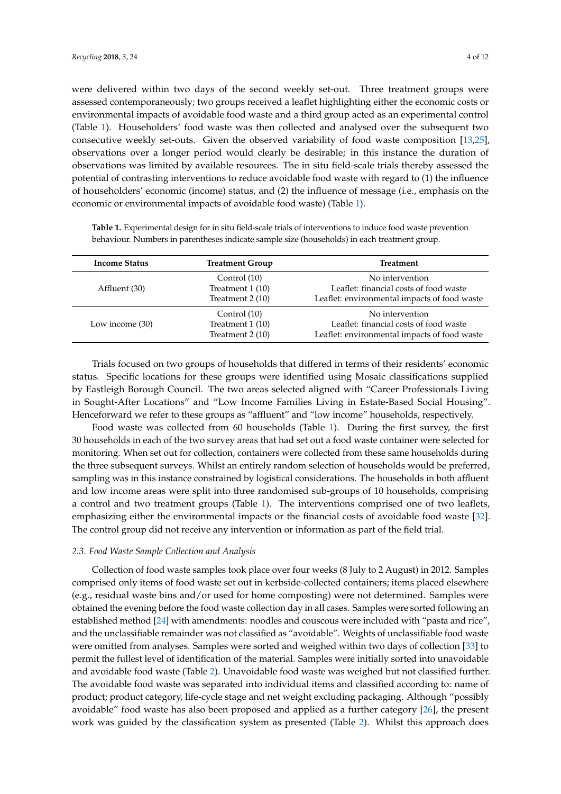were delivered within two days of the second weekly set-out. Three treatment groups were assessed contemporaneously; two groups received a leaflet highlighting either the economic costs or environmental impacts of avoidable food waste and a third group acted as an experimental control (Table [1\)](#page-3-1). Householders' food waste was then collected and analysed over the subsequent two consecutive weekly set-outs. Given the observed variability of food waste composition [\[13,](#page-9-11)[25\]](#page-10-8), observations over a longer period would clearly be desirable; in this instance the duration of observations was limited by available resources. The in situ field-scale trials thereby assessed the potential of contrasting interventions to reduce avoidable food waste with regard to (1) the influence of householders' economic (income) status, and (2) the influence of message (i.e., emphasis on the economic or environmental impacts of avoidable food waste) (Table [1\)](#page-3-1).

| <b>Income Status</b> | <b>Treatment Group</b>                                | <b>Treatment</b>                                                                                          |  |  |
|----------------------|-------------------------------------------------------|-----------------------------------------------------------------------------------------------------------|--|--|
| Affluent (30)        | Control (10)<br>Treatment $1(10)$<br>Treatment 2 (10) | No intervention<br>Leaflet: financial costs of food waste<br>Leaflet: environmental impacts of food waste |  |  |
| Low income (30)      | Control (10)<br>Treatment 1 (10)<br>Treatment 2 (10)  | No intervention<br>Leaflet: financial costs of food waste<br>Leaflet: environmental impacts of food waste |  |  |

<span id="page-3-1"></span>**Table 1.** Experimental design for in situ field-scale trials of interventions to induce food waste prevention behaviour. Numbers in parentheses indicate sample size (households) in each treatment group.

Trials focused on two groups of households that differed in terms of their residents' economic status. Specific locations for these groups were identified using Mosaic classifications supplied by Eastleigh Borough Council. The two areas selected aligned with "Career Professionals Living in Sought-After Locations" and "Low Income Families Living in Estate-Based Social Housing". Henceforward we refer to these groups as "affluent" and "low income" households, respectively.

Food waste was collected from 60 households (Table [1\)](#page-3-1). During the first survey, the first 30 households in each of the two survey areas that had set out a food waste container were selected for monitoring. When set out for collection, containers were collected from these same households during the three subsequent surveys. Whilst an entirely random selection of households would be preferred, sampling was in this instance constrained by logistical considerations. The households in both affluent and low income areas were split into three randomised sub-groups of 10 households, comprising a control and two treatment groups (Table [1\)](#page-3-1). The interventions comprised one of two leaflets, emphasizing either the environmental impacts or the financial costs of avoidable food waste [\[32\]](#page-10-15). The control group did not receive any intervention or information as part of the field trial.

## <span id="page-3-0"></span>*2.3. Food Waste Sample Collection and Analysis*

Collection of food waste samples took place over four weeks (8 July to 2 August) in 2012. Samples comprised only items of food waste set out in kerbside-collected containers; items placed elsewhere (e.g., residual waste bins and/or used for home composting) were not determined. Samples were obtained the evening before the food waste collection day in all cases. Samples were sorted following an established method [\[24\]](#page-10-7) with amendments: noodles and couscous were included with "pasta and rice", and the unclassifiable remainder was not classified as "avoidable". Weights of unclassifiable food waste were omitted from analyses. Samples were sorted and weighed within two days of collection [\[33\]](#page-10-16) to permit the fullest level of identification of the material. Samples were initially sorted into unavoidable and avoidable food waste (Table [2\)](#page-4-0). Unavoidable food waste was weighed but not classified further. The avoidable food waste was separated into individual items and classified according to: name of product; product category, life-cycle stage and net weight excluding packaging. Although "possibly avoidable" food waste has also been proposed and applied as a further category [\[26\]](#page-10-9), the present work was guided by the classification system as presented (Table [2\)](#page-4-0). Whilst this approach does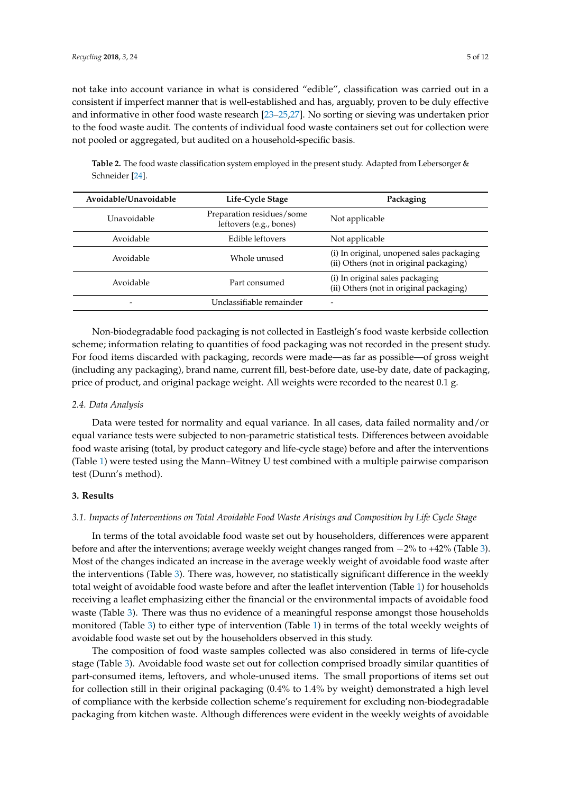not take into account variance in what is considered "edible", classification was carried out in a consistent if imperfect manner that is well-established and has, arguably, proven to be duly effective and informative in other food waste research [\[23–](#page-10-6)[25,](#page-10-8)[27\]](#page-10-10). No sorting or sieving was undertaken prior to the food waste audit. The contents of individual food waste containers set out for collection were not pooled or aggregated, but audited on a household-specific basis.

<span id="page-4-0"></span>**Table 2.** The food waste classification system employed in the present study. Adapted from Lebersorger & Schneider [\[24\]](#page-10-7).

| Avoidable/Unavoidable | Life-Cycle Stage                                     | Packaging                                                                            |  |  |
|-----------------------|------------------------------------------------------|--------------------------------------------------------------------------------------|--|--|
| Unavoidable           | Preparation residues/some<br>leftovers (e.g., bones) | Not applicable                                                                       |  |  |
| Avoidable             | Edible leftovers                                     | Not applicable                                                                       |  |  |
| Avoidable             | Whole unused                                         | (i) In original, unopened sales packaging<br>(ii) Others (not in original packaging) |  |  |
| Avoidable             | Part consumed                                        | (i) In original sales packaging<br>(ii) Others (not in original packaging)           |  |  |
|                       | Unclassifiable remainder                             |                                                                                      |  |  |

Non-biodegradable food packaging is not collected in Eastleigh's food waste kerbside collection scheme; information relating to quantities of food packaging was not recorded in the present study. For food items discarded with packaging, records were made—as far as possible—of gross weight (including any packaging), brand name, current fill, best-before date, use-by date, date of packaging, price of product, and original package weight. All weights were recorded to the nearest 0.1 g.

# *2.4. Data Analysis*

Data were tested for normality and equal variance. In all cases, data failed normality and/or equal variance tests were subjected to non-parametric statistical tests. Differences between avoidable food waste arising (total, by product category and life-cycle stage) before and after the interventions (Table [1\)](#page-3-1) were tested using the Mann–Witney U test combined with a multiple pairwise comparison test (Dunn's method).

# **3. Results**

### *3.1. Impacts of Interventions on Total Avoidable Food Waste Arisings and Composition by Life Cycle Stage*

In terms of the total avoidable food waste set out by householders, differences were apparent before and after the interventions; average weekly weight changes ranged from −2% to +42% (Table [3\)](#page-5-0). Most of the changes indicated an increase in the average weekly weight of avoidable food waste after the interventions (Table [3\)](#page-5-0). There was, however, no statistically significant difference in the weekly total weight of avoidable food waste before and after the leaflet intervention (Table [1\)](#page-3-1) for households receiving a leaflet emphasizing either the financial or the environmental impacts of avoidable food waste (Table [3\)](#page-5-0). There was thus no evidence of a meaningful response amongst those households monitored (Table [3\)](#page-5-0) to either type of intervention (Table [1\)](#page-3-1) in terms of the total weekly weights of avoidable food waste set out by the householders observed in this study.

The composition of food waste samples collected was also considered in terms of life-cycle stage (Table [3\)](#page-5-0). Avoidable food waste set out for collection comprised broadly similar quantities of part-consumed items, leftovers, and whole-unused items. The small proportions of items set out for collection still in their original packaging (0.4% to 1.4% by weight) demonstrated a high level of compliance with the kerbside collection scheme's requirement for excluding non-biodegradable packaging from kitchen waste. Although differences were evident in the weekly weights of avoidable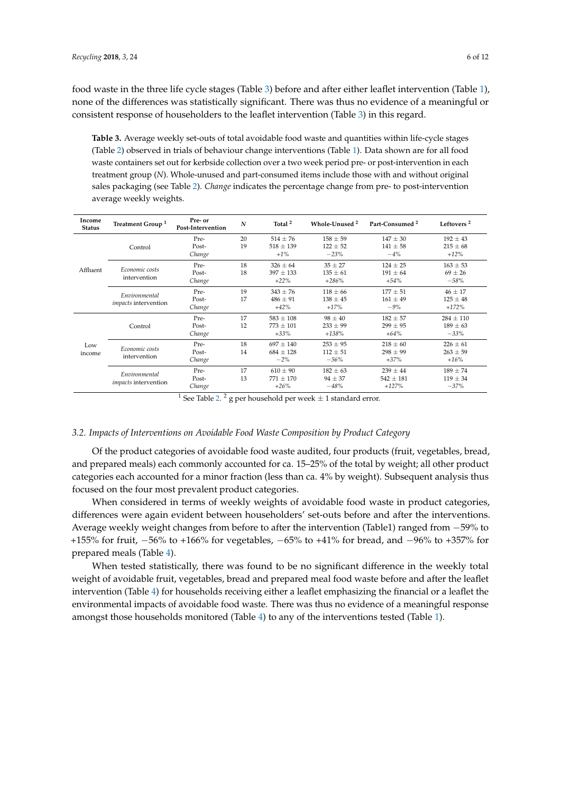food waste in the three life cycle stages (Table [3\)](#page-5-0) before and after either leaflet intervention (Table [1\)](#page-3-1), none of the differences was statistically significant. There was thus no evidence of a meaningful or consistent response of householders to the leaflet intervention (Table [3\)](#page-5-0) in this regard.

<span id="page-5-0"></span>**Table 3.** Average weekly set-outs of total avoidable food waste and quantities within life-cycle stages (Table [2\)](#page-4-0) observed in trials of behaviour change interventions (Table [1\)](#page-3-1). Data shown are for all food waste containers set out for kerbside collection over a two week period pre- or post-intervention in each treatment group (*N*). Whole-unused and part-consumed items include those with and without original sales packaging (see Table [2\)](#page-4-0). *Change* indicates the percentage change from pre- to post-intervention average weekly weights.

| Income<br><b>Status</b> | Treatment Group <sup>1</sup>                 | Pre- or<br>Post-Intervention | $\mathbf N$ | Total <sup>2</sup> | Whole-Unused <sup>2</sup> | Part-Consumed <sup>2</sup> | Leftovers <sup>2</sup> |
|-------------------------|----------------------------------------------|------------------------------|-------------|--------------------|---------------------------|----------------------------|------------------------|
| Affluent                | Control                                      | Pre-                         | 20          | $514 \pm 76$       | $158 + 59$                | $147 \pm 30$               | $192 \pm 43$           |
|                         |                                              | Post-                        | 19          | $518 \pm 139$      | $122 \pm 52$              | $141 \pm 58$               | $215 \pm 68$           |
|                         |                                              | Change                       |             | $+1\%$             | $-23%$                    | $-4%$                      | $+12%$                 |
|                         | Economic costs<br>intervention               | Pre-                         | 18          | $326 \pm 64$       | $35 \pm 27$               | $124 + 25$                 | $163 \pm 53$           |
|                         |                                              | Post-                        | 18          | $397 \pm 133$      | $135 \pm 61$              | $191 \pm 64$               | $69 \pm 26$            |
|                         |                                              | Change                       |             | $+22%$             | $+286%$                   | $+54%$                     | $-58%$                 |
|                         | Environmental<br><i>impacts</i> intervention | Pre-                         | 19          | $343 \pm 76$       | $118 \pm 66$              | $177 \pm 51$               | $46 \pm 17$            |
|                         |                                              | Post-                        | 17          | $486 \pm 91$       | $138 \pm 45$              | $161 \pm 49$               | $125 \pm 48$           |
|                         |                                              | Change                       |             | $+42%$             | $+17%$                    | $-9%$                      | $+172%$                |
| Low<br>income           | Control                                      | Pre-                         | 17          | $583 \pm 108$      | $98 \pm 40$               | $182 \pm 57$               | $284 \pm 110$          |
|                         |                                              | Post-                        | 12          | $773 \pm 101$      | $233 \pm 99$              | $299 \pm 95$               | $189 \pm 63$           |
|                         |                                              | Change                       |             | $+33%$             | $+138%$                   | $+64%$                     | $-33%$                 |
|                         | Economic costs<br>intervention               | Pre-                         | 18          | $697 \pm 140$      | $253 \pm 95$              | $218 \pm 60$               | $226 \pm 61$           |
|                         |                                              | Post-                        | 14          | $684 \pm 128$      | $112 \pm 51$              | $298 \pm 99$               | $263 \pm 59$           |
|                         |                                              | Change                       |             | $-2\%$             | $-56%$                    | $+37%$                     | $+16%$                 |
|                         | Environmental<br><i>impacts</i> intervention | Pre-                         | 17          | $610 \pm 90$       | $182 \pm 63$              | $239 \pm 44$               | $189 \pm 74$           |
|                         |                                              | Post-                        | 13          | $771 \pm 170$      | $94 \pm 37$               | $542 \pm 181$              | $119 \pm 34$           |
|                         |                                              | Change                       |             | $+26%$             | $-48%$                    | $+127%$                    | $-37%$                 |

<sup>1</sup> See Table [2.](#page-4-0) <sup>2</sup> g per household per week  $\pm$  1 standard error.

# *3.2. Impacts of Interventions on Avoidable Food Waste Composition by Product Category*

Of the product categories of avoidable food waste audited, four products (fruit, vegetables, bread, and prepared meals) each commonly accounted for ca. 15–25% of the total by weight; all other product categories each accounted for a minor fraction (less than ca. 4% by weight). Subsequent analysis thus focused on the four most prevalent product categories.

When considered in terms of weekly weights of avoidable food waste in product categories, differences were again evident between householders' set-outs before and after the interventions. Average weekly weight changes from before to after the intervention (Table1) ranged from −59% to +155% for fruit, −56% to +166% for vegetables, −65% to +41% for bread, and −96% to +357% for prepared meals (Table [4\)](#page-6-0).

When tested statistically, there was found to be no significant difference in the weekly total weight of avoidable fruit, vegetables, bread and prepared meal food waste before and after the leaflet intervention (Table [4\)](#page-6-0) for households receiving either a leaflet emphasizing the financial or a leaflet the environmental impacts of avoidable food waste. There was thus no evidence of a meaningful response amongst those households monitored (Table [4\)](#page-6-0) to any of the interventions tested (Table [1\)](#page-3-1).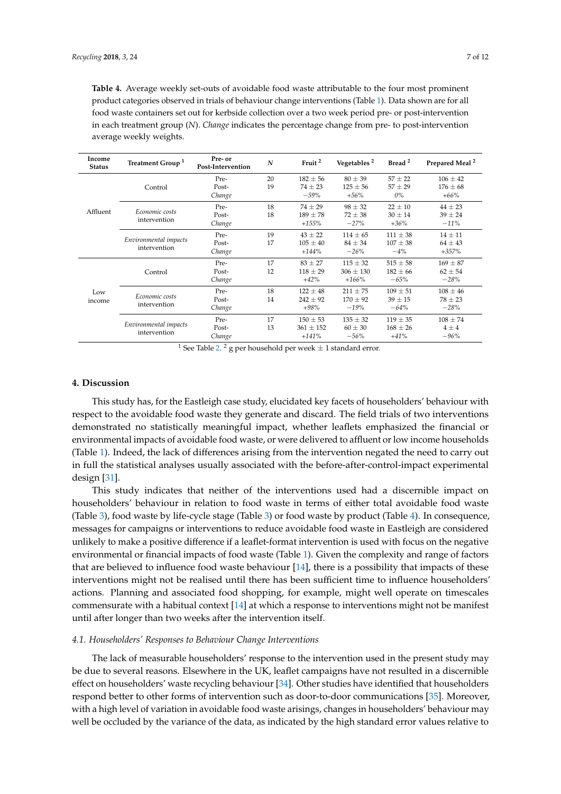<span id="page-6-0"></span>**Table 4.** Average weekly set-outs of avoidable food waste attributable to the four most prominent product categories observed in trials of behaviour change interventions (Table [1\)](#page-3-1). Data shown are for all food waste containers set out for kerbside collection over a two week period pre- or post-intervention in each treatment group (*N*). *Change* indicates the percentage change from pre- to post-intervention average weekly weights.

| Income<br><b>Status</b> | Treatment Group <sup>1</sup>          | Pre- or<br>Post-Intervention | N  | Fruit <sup>2</sup> | Vegetables <sup>2</sup> | Bread <sup>2</sup> | Prepared Meal <sup>2</sup> |
|-------------------------|---------------------------------------|------------------------------|----|--------------------|-------------------------|--------------------|----------------------------|
| Affluent                | Control                               | Pre-                         | 20 | $182 \pm 56$       | $80 \pm 39$             | $57 \pm 22$        | $106 \pm 42$               |
|                         |                                       | Post-                        | 19 | $74 \pm 23$        | $125 \pm 56$            | $57 \pm 29$        | $176 \pm 68$               |
|                         |                                       | Change                       |    | $-59%$             | $+56%$                  | $0\%$              | $+66%$                     |
|                         | Economic costs<br>intervention        | Pre-                         | 18 | $74 \pm 29$        | $98 \pm 32$             | $22 \pm 10$        | $44 \pm 23$                |
|                         |                                       | Post-                        | 18 | $189 \pm 78$       | $72 \pm 38$             | $30 \pm 14$        | $39 \pm 24$                |
|                         |                                       | Change                       |    | $+155%$            | $-27%$                  | $+36%$             | $-11%$                     |
|                         | Environmental impacts<br>intervention | Pre-                         | 19 | $43 \pm 22$        | $114 \pm 65$            | $111 \pm 38$       | $14 \pm 11$                |
|                         |                                       | Post-                        | 17 | $105 \pm 40$       | $84 \pm 34$             | $107 \pm 38$       | $64 \pm 43$                |
|                         |                                       | Change                       |    | $+144%$            | $-26%$                  | $-4%$              | $+357\%$                   |
| Low<br>income           | Control                               | Pre-                         | 17 | $83 \pm 27$        | $115 \pm 32$            | $515 \pm 58$       | $169 \pm 87$               |
|                         |                                       | Post-                        | 12 | $118 \pm 29$       | $306 \pm 130$           | $182 \pm 66$       | $62 \pm 54$                |
|                         |                                       | Change                       |    | $+42%$             | $+166%$                 | $-65%$             | $-28%$                     |
|                         | Economic costs<br>intervention        | Pre-                         | 18 | $122 \pm 48$       | $211 \pm 75$            | $109 \pm 51$       | $108 \pm 46$               |
|                         |                                       | Post-                        | 14 | $242 \pm 92$       | $170 \pm 92$            | $39 \pm 15$        | $78 \pm 23$                |
|                         |                                       | Change                       |    | $+98%$             | $-19%$                  | $-64%$             | $-28%$                     |
|                         | Environmental impacts<br>intervention | Pre-                         | 17 | $150 \pm 53$       | $135 \pm 32$            | $119 \pm 35$       | $108 \pm 74$               |
|                         |                                       | Post-                        | 13 | $361 \pm 152$      | $60 \pm 30$             | $168 \pm 26$       | $4 \pm 4$                  |
|                         |                                       | Change                       |    | $+141%$            | $-56\%$                 | $+41%$             | $-96%$                     |

<sup>1</sup> See Table [2.](#page-4-0)<sup>2</sup> g per household per week  $\pm$  1 standard error.

# **4. Discussion**

This study has, for the Eastleigh case study, elucidated key facets of householders' behaviour with respect to the avoidable food waste they generate and discard. The field trials of two interventions demonstrated no statistically meaningful impact, whether leaflets emphasized the financial or environmental impacts of avoidable food waste, or were delivered to affluent or low income households (Table [1\)](#page-3-1). Indeed, the lack of differences arising from the intervention negated the need to carry out in full the statistical analyses usually associated with the before-after-control-impact experimental design [\[31\]](#page-10-14).

This study indicates that neither of the interventions used had a discernible impact on householders' behaviour in relation to food waste in terms of either total avoidable food waste (Table [3\)](#page-5-0), food waste by life-cycle stage (Table [3\)](#page-5-0) or food waste by product (Table [4\)](#page-6-0). In consequence, messages for campaigns or interventions to reduce avoidable food waste in Eastleigh are considered unlikely to make a positive difference if a leaflet-format intervention is used with focus on the negative environmental or financial impacts of food waste (Table [1\)](#page-3-1). Given the complexity and range of factors that are believed to influence food waste behaviour [\[14\]](#page-9-12), there is a possibility that impacts of these interventions might not be realised until there has been sufficient time to influence householders' actions. Planning and associated food shopping, for example, might well operate on timescales commensurate with a habitual context [\[14\]](#page-9-12) at which a response to interventions might not be manifest until after longer than two weeks after the intervention itself.

## *4.1. Householders' Responses to Behaviour Change Interventions*

The lack of measurable householders' response to the intervention used in the present study may be due to several reasons. Elsewhere in the UK, leaflet campaigns have not resulted in a discernible effect on householders' waste recycling behaviour [\[34\]](#page-10-17). Other studies have identified that householders respond better to other forms of intervention such as door-to-door communications [\[35\]](#page-10-18). Moreover, with a high level of variation in avoidable food waste arisings, changes in householders' behaviour may well be occluded by the variance of the data, as indicated by the high standard error values relative to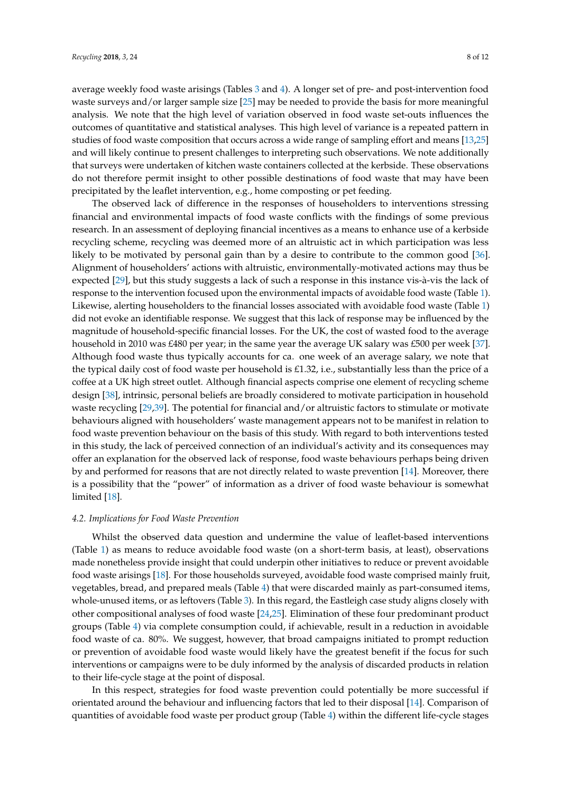average weekly food waste arisings (Tables [3](#page-5-0) and [4\)](#page-6-0). A longer set of pre- and post-intervention food waste surveys and/or larger sample size [\[25\]](#page-10-8) may be needed to provide the basis for more meaningful analysis. We note that the high level of variation observed in food waste set-outs influences the outcomes of quantitative and statistical analyses. This high level of variance is a repeated pattern in studies of food waste composition that occurs across a wide range of sampling effort and means [\[13,](#page-9-11)[25\]](#page-10-8) and will likely continue to present challenges to interpreting such observations. We note additionally that surveys were undertaken of kitchen waste containers collected at the kerbside. These observations do not therefore permit insight to other possible destinations of food waste that may have been precipitated by the leaflet intervention, e.g., home composting or pet feeding.

The observed lack of difference in the responses of householders to interventions stressing financial and environmental impacts of food waste conflicts with the findings of some previous research. In an assessment of deploying financial incentives as a means to enhance use of a kerbside recycling scheme, recycling was deemed more of an altruistic act in which participation was less likely to be motivated by personal gain than by a desire to contribute to the common good [\[36\]](#page-10-19). Alignment of householders' actions with altruistic, environmentally-motivated actions may thus be expected [\[29\]](#page-10-12), but this study suggests a lack of such a response in this instance vis-à-vis the lack of response to the intervention focused upon the environmental impacts of avoidable food waste (Table [1\)](#page-3-1). Likewise, alerting householders to the financial losses associated with avoidable food waste (Table [1\)](#page-3-1) did not evoke an identifiable response. We suggest that this lack of response may be influenced by the magnitude of household-specific financial losses. For the UK, the cost of wasted food to the average household in 2010 was £480 per year; in the same year the average UK salary was £500 per week [\[37\]](#page-10-20). Although food waste thus typically accounts for ca. one week of an average salary, we note that the typical daily cost of food waste per household is £1.32, i.e., substantially less than the price of a coffee at a UK high street outlet. Although financial aspects comprise one element of recycling scheme design [\[38\]](#page-10-21), intrinsic, personal beliefs are broadly considered to motivate participation in household waste recycling [\[29](#page-10-12)[,39\]](#page-10-22). The potential for financial and/or altruistic factors to stimulate or motivate behaviours aligned with householders' waste management appears not to be manifest in relation to food waste prevention behaviour on the basis of this study. With regard to both interventions tested in this study, the lack of perceived connection of an individual's activity and its consequences may offer an explanation for the observed lack of response, food waste behaviours perhaps being driven by and performed for reasons that are not directly related to waste prevention [\[14\]](#page-9-12). Moreover, there is a possibility that the "power" of information as a driver of food waste behaviour is somewhat limited [\[18\]](#page-10-1).

# *4.2. Implications for Food Waste Prevention*

Whilst the observed data question and undermine the value of leaflet-based interventions (Table [1\)](#page-3-1) as means to reduce avoidable food waste (on a short-term basis, at least), observations made nonetheless provide insight that could underpin other initiatives to reduce or prevent avoidable food waste arisings [\[18\]](#page-10-1). For those households surveyed, avoidable food waste comprised mainly fruit, vegetables, bread, and prepared meals (Table [4\)](#page-6-0) that were discarded mainly as part-consumed items, whole-unused items, or as leftovers (Table [3\)](#page-5-0). In this regard, the Eastleigh case study aligns closely with other compositional analyses of food waste [\[24,](#page-10-7)[25\]](#page-10-8). Elimination of these four predominant product groups (Table [4\)](#page-6-0) via complete consumption could, if achievable, result in a reduction in avoidable food waste of ca. 80%. We suggest, however, that broad campaigns initiated to prompt reduction or prevention of avoidable food waste would likely have the greatest benefit if the focus for such interventions or campaigns were to be duly informed by the analysis of discarded products in relation to their life-cycle stage at the point of disposal.

In this respect, strategies for food waste prevention could potentially be more successful if orientated around the behaviour and influencing factors that led to their disposal [\[14\]](#page-9-12). Comparison of quantities of avoidable food waste per product group (Table [4\)](#page-6-0) within the different life-cycle stages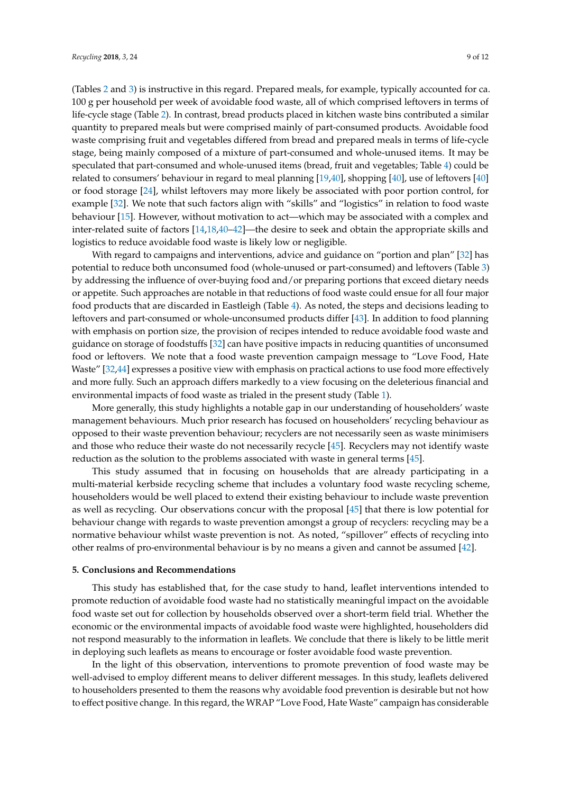(Tables [2](#page-4-0) and [3\)](#page-5-0) is instructive in this regard. Prepared meals, for example, typically accounted for ca. 100 g per household per week of avoidable food waste, all of which comprised leftovers in terms of life-cycle stage (Table [2\)](#page-4-0). In contrast, bread products placed in kitchen waste bins contributed a similar quantity to prepared meals but were comprised mainly of part-consumed products. Avoidable food waste comprising fruit and vegetables differed from bread and prepared meals in terms of life-cycle stage, being mainly composed of a mixture of part-consumed and whole-unused items. It may be speculated that part-consumed and whole-unused items (bread, fruit and vegetables; Table [4\)](#page-6-0) could be related to consumers' behaviour in regard to meal planning [\[19](#page-10-2)[,40\]](#page-10-23), shopping [\[40\]](#page-10-23), use of leftovers [\[40\]](#page-10-23) or food storage [\[24\]](#page-10-7), whilst leftovers may more likely be associated with poor portion control, for example [\[32\]](#page-10-15). We note that such factors align with "skills" and "logistics" in relation to food waste behaviour [\[15\]](#page-9-13). However, without motivation to act—which may be associated with a complex and inter-related suite of factors [\[14,](#page-9-12)[18,](#page-10-1)[40](#page-10-23)[–42\]](#page-11-0)—the desire to seek and obtain the appropriate skills and logistics to reduce avoidable food waste is likely low or negligible.

With regard to campaigns and interventions, advice and guidance on "portion and plan" [\[32\]](#page-10-15) has potential to reduce both unconsumed food (whole-unused or part-consumed) and leftovers (Table [3\)](#page-5-0) by addressing the influence of over-buying food and/or preparing portions that exceed dietary needs or appetite. Such approaches are notable in that reductions of food waste could ensue for all four major food products that are discarded in Eastleigh (Table [4\)](#page-6-0). As noted, the steps and decisions leading to leftovers and part-consumed or whole-unconsumed products differ [\[43\]](#page-11-1). In addition to food planning with emphasis on portion size, the provision of recipes intended to reduce avoidable food waste and guidance on storage of foodstuffs [\[32\]](#page-10-15) can have positive impacts in reducing quantities of unconsumed food or leftovers. We note that a food waste prevention campaign message to "Love Food, Hate Waste" [\[32,](#page-10-15)[44\]](#page-11-2) expresses a positive view with emphasis on practical actions to use food more effectively and more fully. Such an approach differs markedly to a view focusing on the deleterious financial and environmental impacts of food waste as trialed in the present study (Table [1\)](#page-3-1).

More generally, this study highlights a notable gap in our understanding of householders' waste management behaviours. Much prior research has focused on householders' recycling behaviour as opposed to their waste prevention behaviour; recyclers are not necessarily seen as waste minimisers and those who reduce their waste do not necessarily recycle [\[45\]](#page-11-3). Recyclers may not identify waste reduction as the solution to the problems associated with waste in general terms [\[45\]](#page-11-3).

This study assumed that in focusing on households that are already participating in a multi-material kerbside recycling scheme that includes a voluntary food waste recycling scheme, householders would be well placed to extend their existing behaviour to include waste prevention as well as recycling. Our observations concur with the proposal [\[45\]](#page-11-3) that there is low potential for behaviour change with regards to waste prevention amongst a group of recyclers: recycling may be a normative behaviour whilst waste prevention is not. As noted, "spillover" effects of recycling into other realms of pro-environmental behaviour is by no means a given and cannot be assumed [\[42\]](#page-11-0).

## **5. Conclusions and Recommendations**

This study has established that, for the case study to hand, leaflet interventions intended to promote reduction of avoidable food waste had no statistically meaningful impact on the avoidable food waste set out for collection by households observed over a short-term field trial. Whether the economic or the environmental impacts of avoidable food waste were highlighted, householders did not respond measurably to the information in leaflets. We conclude that there is likely to be little merit in deploying such leaflets as means to encourage or foster avoidable food waste prevention.

In the light of this observation, interventions to promote prevention of food waste may be well-advised to employ different means to deliver different messages. In this study, leaflets delivered to householders presented to them the reasons why avoidable food prevention is desirable but not how to effect positive change. In this regard, the WRAP "Love Food, Hate Waste" campaign has considerable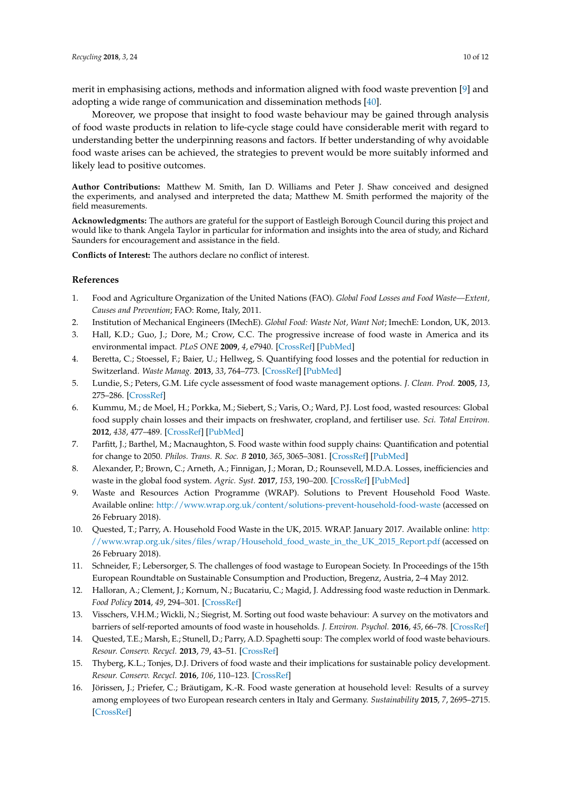merit in emphasising actions, methods and information aligned with food waste prevention [\[9\]](#page-9-7) and adopting a wide range of communication and dissemination methods [\[40\]](#page-10-23).

Moreover, we propose that insight to food waste behaviour may be gained through analysis of food waste products in relation to life-cycle stage could have considerable merit with regard to understanding better the underpinning reasons and factors. If better understanding of why avoidable food waste arises can be achieved, the strategies to prevent would be more suitably informed and likely lead to positive outcomes.

**Author Contributions:** Matthew M. Smith, Ian D. Williams and Peter J. Shaw conceived and designed the experiments, and analysed and interpreted the data; Matthew M. Smith performed the majority of the field measurements.

**Acknowledgments:** The authors are grateful for the support of Eastleigh Borough Council during this project and would like to thank Angela Taylor in particular for information and insights into the area of study, and Richard Saunders for encouragement and assistance in the field.

**Conflicts of Interest:** The authors declare no conflict of interest.

## **References**

- <span id="page-9-0"></span>1. Food and Agriculture Organization of the United Nations (FAO). *Global Food Losses and Food Waste—Extent, Causes and Prevention*; FAO: Rome, Italy, 2011.
- <span id="page-9-1"></span>2. Institution of Mechanical Engineers (IMechE). *Global Food: Waste Not, Want Not*; ImechE: London, UK, 2013.
- <span id="page-9-2"></span>3. Hall, K.D.; Guo, J.; Dore, M.; Crow, C.C. The progressive increase of food waste in America and its environmental impact. *PLoS ONE* **2009**, *4*, e7940. [\[CrossRef\]](http://dx.doi.org/10.1371/journal.pone.0007940) [\[PubMed\]](http://www.ncbi.nlm.nih.gov/pubmed/19946359)
- <span id="page-9-3"></span>4. Beretta, C.; Stoessel, F.; Baier, U.; Hellweg, S. Quantifying food losses and the potential for reduction in Switzerland. *Waste Manag.* **2013**, *33*, 764–773. [\[CrossRef\]](http://dx.doi.org/10.1016/j.wasman.2012.11.007) [\[PubMed\]](http://www.ncbi.nlm.nih.gov/pubmed/23270687)
- <span id="page-9-15"></span>5. Lundie, S.; Peters, G.M. Life cycle assessment of food waste management options. *J. Clean. Prod.* **2005**, *13*, 275–286. [\[CrossRef\]](http://dx.doi.org/10.1016/j.jclepro.2004.02.020)
- <span id="page-9-5"></span>6. Kummu, M.; de Moel, H.; Porkka, M.; Siebert, S.; Varis, O.; Ward, P.J. Lost food, wasted resources: Global food supply chain losses and their impacts on freshwater, cropland, and fertiliser use. *Sci. Total Environ.* **2012**, *438*, 477–489. [\[CrossRef\]](http://dx.doi.org/10.1016/j.scitotenv.2012.08.092) [\[PubMed\]](http://www.ncbi.nlm.nih.gov/pubmed/23032564)
- <span id="page-9-4"></span>7. Parfitt, J.; Barthel, M.; Macnaughton, S. Food waste within food supply chains: Quantification and potential for change to 2050. *Philos. Trans. R. Soc. B* **2010**, *365*, 3065–3081. [\[CrossRef\]](http://dx.doi.org/10.1098/rstb.2010.0126) [\[PubMed\]](http://www.ncbi.nlm.nih.gov/pubmed/20713403)
- <span id="page-9-6"></span>8. Alexander, P.; Brown, C.; Arneth, A.; Finnigan, J.; Moran, D.; Rounsevell, M.D.A. Losses, inefficiencies and waste in the global food system. *Agric. Syst.* **2017**, *153*, 190–200. [\[CrossRef\]](http://dx.doi.org/10.1016/j.agsy.2017.01.014) [\[PubMed\]](http://www.ncbi.nlm.nih.gov/pubmed/28579671)
- <span id="page-9-7"></span>9. Waste and Resources Action Programme (WRAP). Solutions to Prevent Household Food Waste. Available online: <http://www.wrap.org.uk/content/solutions-prevent-household-food-waste> (accessed on 26 February 2018).
- <span id="page-9-8"></span>10. Quested, T.; Parry, A. Household Food Waste in the UK, 2015. WRAP. January 2017. Available online: [http:](http://www.wrap.org.uk/sites/files/wrap/Household_food_waste_in_the_UK_2015_Report.pdf) [//www.wrap.org.uk/sites/files/wrap/Household\\_food\\_waste\\_in\\_the\\_UK\\_2015\\_Report.pdf](http://www.wrap.org.uk/sites/files/wrap/Household_food_waste_in_the_UK_2015_Report.pdf) (accessed on 26 February 2018).
- <span id="page-9-9"></span>11. Schneider, F.; Lebersorger, S. The challenges of food wastage to European Society. In Proceedings of the 15th European Roundtable on Sustainable Consumption and Production, Bregenz, Austria, 2–4 May 2012.
- <span id="page-9-10"></span>12. Halloran, A.; Clement, J.; Kornum, N.; Bucatariu, C.; Magid, J. Addressing food waste reduction in Denmark. *Food Policy* **2014**, *49*, 294–301. [\[CrossRef\]](http://dx.doi.org/10.1016/j.foodpol.2014.09.005)
- <span id="page-9-11"></span>13. Visschers, V.H.M.; Wickli, N.; Siegrist, M. Sorting out food waste behaviour: A survey on the motivators and barriers of self-reported amounts of food waste in households. *J. Environ. Psychol.* **2016**, *45*, 66–78. [\[CrossRef\]](http://dx.doi.org/10.1016/j.jenvp.2015.11.007)
- <span id="page-9-12"></span>14. Quested, T.E.; Marsh, E.; Stunell, D.; Parry, A.D. Spaghetti soup: The complex world of food waste behaviours. *Resour. Conserv. Recycl.* **2013**, *79*, 43–51. [\[CrossRef\]](http://dx.doi.org/10.1016/j.resconrec.2013.04.011)
- <span id="page-9-13"></span>15. Thyberg, K.L.; Tonjes, D.J. Drivers of food waste and their implications for sustainable policy development. *Resour. Conserv. Recycl.* **2016**, *106*, 110–123. [\[CrossRef\]](http://dx.doi.org/10.1016/j.resconrec.2015.11.016)
- <span id="page-9-14"></span>16. Jörissen, J.; Priefer, C.; Bräutigam, K.-R. Food waste generation at household level: Results of a survey among employees of two European research centers in Italy and Germany. *Sustainability* **2015**, *7*, 2695–2715. [\[CrossRef\]](http://dx.doi.org/10.3390/su7032695)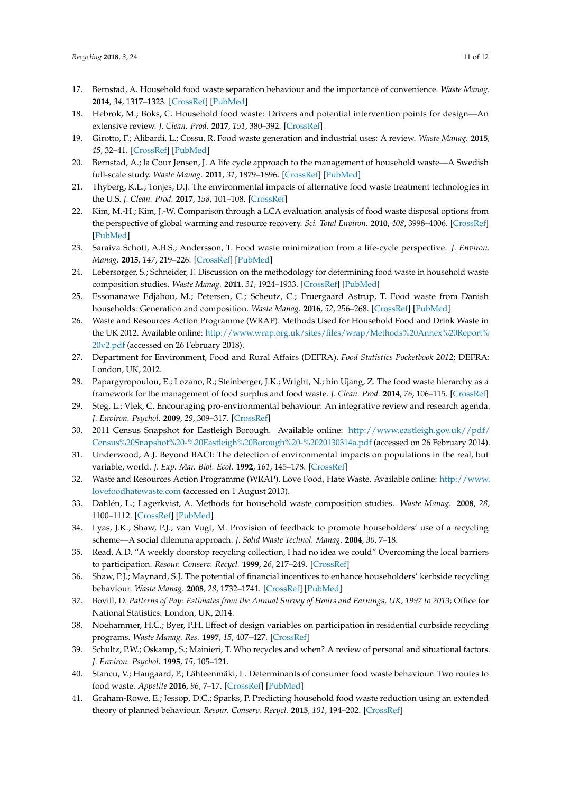- <span id="page-10-0"></span>17. Bernstad, A. Household food waste separation behaviour and the importance of convenience. *Waste Manag.* **2014**, *34*, 1317–1323. [\[CrossRef\]](http://dx.doi.org/10.1016/j.wasman.2014.03.013) [\[PubMed\]](http://www.ncbi.nlm.nih.gov/pubmed/24780762)
- <span id="page-10-1"></span>18. Hebrok, M.; Boks, C. Household food waste: Drivers and potential intervention points for design—An extensive review. *J. Clean. Prod.* **2017**, *151*, 380–392. [\[CrossRef\]](http://dx.doi.org/10.1016/j.jclepro.2017.03.069)
- <span id="page-10-2"></span>19. Girotto, F.; Alibardi, L.; Cossu, R. Food waste generation and industrial uses: A review. *Waste Manag.* **2015**, *45*, 32–41. [\[CrossRef\]](http://dx.doi.org/10.1016/j.wasman.2015.06.008) [\[PubMed\]](http://www.ncbi.nlm.nih.gov/pubmed/26130171)
- <span id="page-10-3"></span>20. Bernstad, A.; la Cour Jensen, J. A life cycle approach to the management of household waste—A Swedish full-scale study. *Waste Manag.* **2011**, *31*, 1879–1896. [\[CrossRef\]](http://dx.doi.org/10.1016/j.wasman.2011.02.026) [\[PubMed\]](http://www.ncbi.nlm.nih.gov/pubmed/21511455)
- <span id="page-10-5"></span>21. Thyberg, K.L.; Tonjes, D.J. The environmental impacts of alternative food waste treatment technologies in the U.S. *J. Clean. Prod.* **2017**, *158*, 101–108. [\[CrossRef\]](http://dx.doi.org/10.1016/j.jclepro.2017.04.169)
- <span id="page-10-4"></span>22. Kim, M.-H.; Kim, J.-W. Comparison through a LCA evaluation analysis of food waste disposal options from the perspective of global warming and resource recovery. *Sci. Total Environ.* **2010**, *408*, 3998–4006. [\[CrossRef\]](http://dx.doi.org/10.1016/j.scitotenv.2010.04.049) [\[PubMed\]](http://www.ncbi.nlm.nih.gov/pubmed/20580812)
- <span id="page-10-6"></span>23. Saraiva Schott, A.B.S.; Andersson, T. Food waste minimization from a life-cycle perspective. *J. Environ. Manag.* **2015**, *147*, 219–226. [\[CrossRef\]](http://dx.doi.org/10.1016/j.jenvman.2014.07.048) [\[PubMed\]](http://www.ncbi.nlm.nih.gov/pubmed/25264296)
- <span id="page-10-7"></span>24. Lebersorger, S.; Schneider, F. Discussion on the methodology for determining food waste in household waste composition studies. *Waste Manag.* **2011**, *31*, 1924–1933. [\[CrossRef\]](http://dx.doi.org/10.1016/j.wasman.2011.05.023) [\[PubMed\]](http://www.ncbi.nlm.nih.gov/pubmed/21705207)
- <span id="page-10-8"></span>25. Essonanawe Edjabou, M.; Petersen, C.; Scheutz, C.; Fruergaard Astrup, T. Food waste from Danish households: Generation and composition. *Waste Manag.* **2016**, *52*, 256–268. [\[CrossRef\]](http://dx.doi.org/10.1016/j.wasman.2016.03.032) [\[PubMed\]](http://www.ncbi.nlm.nih.gov/pubmed/27026492)
- <span id="page-10-9"></span>26. Waste and Resources Action Programme (WRAP). Methods Used for Household Food and Drink Waste in the UK 2012. Available online: [http://www.wrap.org.uk/sites/files/wrap/Methods%20Annex%20Report%](http://www.wrap.org.uk/sites/files/wrap/Methods%20Annex%20Report%20v2.pdf) [20v2.pdf](http://www.wrap.org.uk/sites/files/wrap/Methods%20Annex%20Report%20v2.pdf) (accessed on 26 February 2018).
- <span id="page-10-10"></span>27. Department for Environment, Food and Rural Affairs (DEFRA). *Food Statistics Pocketbook 2012*; DEFRA: London, UK, 2012.
- <span id="page-10-11"></span>28. Papargyropoulou, E.; Lozano, R.; Steinberger, J.K.; Wright, N.; bin Ujang, Z. The food waste hierarchy as a framework for the management of food surplus and food waste. *J. Clean. Prod.* **2014**, *76*, 106–115. [\[CrossRef\]](http://dx.doi.org/10.1016/j.jclepro.2014.04.020)
- <span id="page-10-12"></span>29. Steg, L.; Vlek, C. Encouraging pro-environmental behaviour: An integrative review and research agenda. *J. Environ. Psychol.* **2009**, *29*, 309–317. [\[CrossRef\]](http://dx.doi.org/10.1016/j.jenvp.2008.10.004)
- <span id="page-10-13"></span>30. 2011 Census Snapshot for Eastleigh Borough. Available online: [http://www.eastleigh.gov.uk//pdf/](http://www.eastleigh.gov.uk//pdf/Census%20Snapshot%20-%20Eastleigh%20Borough%20-%2020130314a.pdf) [Census%20Snapshot%20-%20Eastleigh%20Borough%20-%2020130314a.pdf](http://www.eastleigh.gov.uk//pdf/Census%20Snapshot%20-%20Eastleigh%20Borough%20-%2020130314a.pdf) (accessed on 26 February 2014).
- <span id="page-10-14"></span>31. Underwood, A.J. Beyond BACI: The detection of environmental impacts on populations in the real, but variable, world. *J. Exp. Mar. Biol. Ecol.* **1992**, *161*, 145–178. [\[CrossRef\]](http://dx.doi.org/10.1016/0022-0981(92)90094-Q)
- <span id="page-10-15"></span>32. Waste and Resources Action Programme (WRAP). Love Food, Hate Waste. Available online: [http://www.](http://www.lovefoodhatewaste.com) [lovefoodhatewaste.com](http://www.lovefoodhatewaste.com) (accessed on 1 August 2013).
- <span id="page-10-16"></span>33. Dahlén, L.; Lagerkvist, A. Methods for household waste composition studies. *Waste Manag.* **2008**, *28*, 1100–1112. [\[CrossRef\]](http://dx.doi.org/10.1016/j.wasman.2007.08.014) [\[PubMed\]](http://www.ncbi.nlm.nih.gov/pubmed/17920857)
- <span id="page-10-17"></span>34. Lyas, J.K.; Shaw, P.J.; van Vugt, M. Provision of feedback to promote householders' use of a recycling scheme—A social dilemma approach. *J. Solid Waste Technol. Manag.* **2004**, *30*, 7–18.
- <span id="page-10-18"></span>35. Read, A.D. "A weekly doorstop recycling collection, I had no idea we could" Overcoming the local barriers to participation. *Resour. Conserv. Recycl.* **1999**, *26*, 217–249. [\[CrossRef\]](http://dx.doi.org/10.1016/S0921-3449(99)00008-7)
- <span id="page-10-19"></span>36. Shaw, P.J.; Maynard, S.J. The potential of financial incentives to enhance householders' kerbside recycling behaviour. *Waste Manag.* **2008**, *28*, 1732–1741. [\[CrossRef\]](http://dx.doi.org/10.1016/j.wasman.2007.08.008) [\[PubMed\]](http://www.ncbi.nlm.nih.gov/pubmed/17904348)
- <span id="page-10-20"></span>37. Bovill, D. *Patterns of Pay: Estimates from the Annual Survey of Hours and Earnings, UK, 1997 to 2013*; Office for National Statistics: London, UK, 2014.
- <span id="page-10-21"></span>38. Noehammer, H.C.; Byer, P.H. Effect of design variables on participation in residential curbside recycling programs. *Waste Manag. Res.* **1997**, *15*, 407–427. [\[CrossRef\]](http://dx.doi.org/10.1177/0734242X9701500408)
- <span id="page-10-22"></span>39. Schultz, P.W.; Oskamp, S.; Mainieri, T. Who recycles and when? A review of personal and situational factors. *J. Environ. Psychol.* **1995**, *15*, 105–121.
- <span id="page-10-23"></span>40. Stancu, V.; Haugaard, P.; Lähteenmäki, L. Determinants of consumer food waste behaviour: Two routes to food waste. *Appetite* **2016**, *96*, 7–17. [\[CrossRef\]](http://dx.doi.org/10.1016/j.appet.2015.08.025) [\[PubMed\]](http://www.ncbi.nlm.nih.gov/pubmed/26299713)
- 41. Graham-Rowe, E.; Jessop, D.C.; Sparks, P. Predicting household food waste reduction using an extended theory of planned behaviour. *Resour. Conserv. Recycl.* **2015**, *101*, 194–202. [\[CrossRef\]](http://dx.doi.org/10.1016/j.resconrec.2015.05.020)